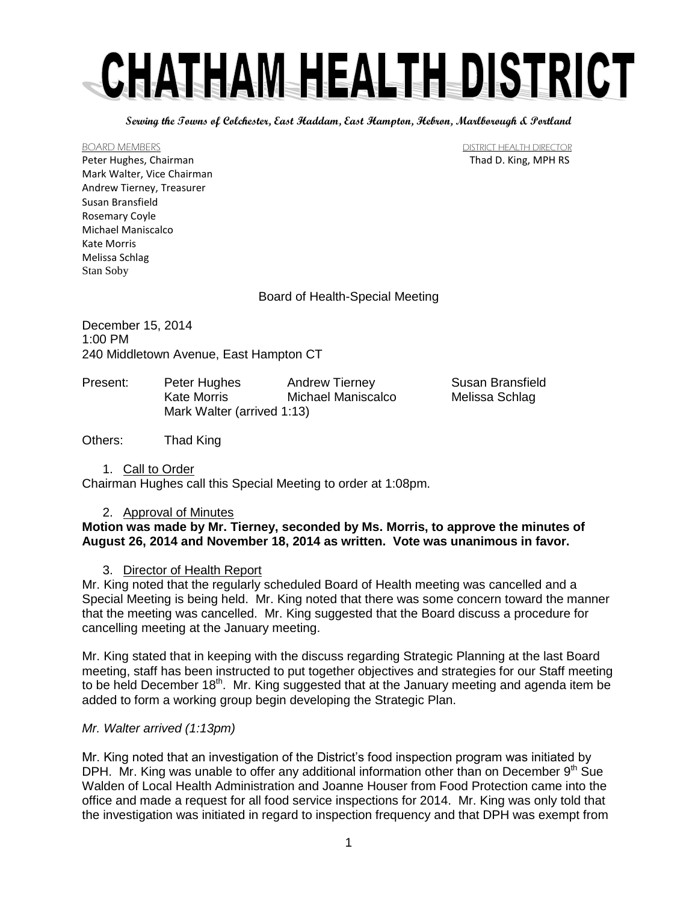**Serving the Towns of Colchester, East Haddam, East Hampton, Hebron, Marlborough & Portland**

Peter Hughes, Chairman Thad D. King, MPH RS Mark Walter, Vice Chairman Andrew Tierney, Treasurer Susan Bransfield Rosemary Coyle Michael Maniscalco Kate Morris Melissa Schlag Stan Soby

BOARD MEMBERS DISTRICT HEALTH DIRECTOR

Board of Health-Special Meeting

December 15, 2014 1:00 PM 240 Middletown Avenue, East Hampton CT

| Present: | Peter Hughes               | <b>Andrew Tierney</b> | <b>Susan Bransfield</b> |
|----------|----------------------------|-----------------------|-------------------------|
|          | Kate Morris                | Michael Maniscalco    | Melissa Schlag          |
|          | Mark Walter (arrived 1:13) |                       |                         |

Others: Thad King

1. Call to Order

Chairman Hughes call this Special Meeting to order at 1:08pm.

### 2. Approval of Minutes

# **Motion was made by Mr. Tierney, seconded by Ms. Morris, to approve the minutes of August 26, 2014 and November 18, 2014 as written. Vote was unanimous in favor.**

# 3. Director of Health Report

Mr. King noted that the regularly scheduled Board of Health meeting was cancelled and a Special Meeting is being held. Mr. King noted that there was some concern toward the manner that the meeting was cancelled. Mr. King suggested that the Board discuss a procedure for cancelling meeting at the January meeting.

Mr. King stated that in keeping with the discuss regarding Strategic Planning at the last Board meeting, staff has been instructed to put together objectives and strategies for our Staff meeting to be held December  $18<sup>th</sup>$ . Mr. King suggested that at the January meeting and agenda item be added to form a working group begin developing the Strategic Plan.

# *Mr. Walter arrived (1:13pm)*

Mr. King noted that an investigation of the District's food inspection program was initiated by DPH. Mr. King was unable to offer any additional information other than on December  $9<sup>th</sup>$  Sue Walden of Local Health Administration and Joanne Houser from Food Protection came into the office and made a request for all food service inspections for 2014. Mr. King was only told that the investigation was initiated in regard to inspection frequency and that DPH was exempt from